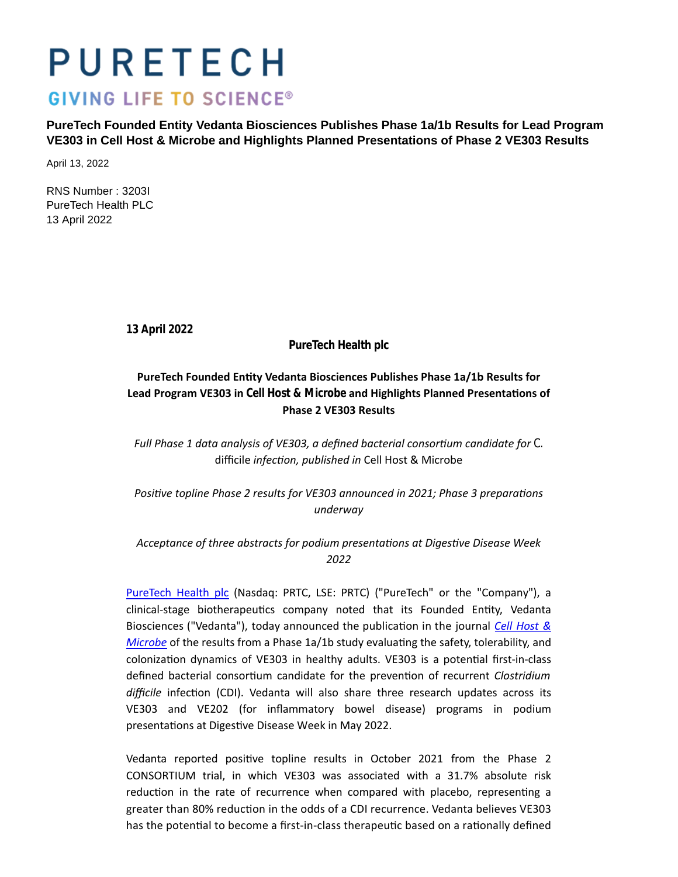# PURETECH

## **GIVING LIFE TO SCIENCE®**

**PureTech Founded Entity Vedanta Biosciences Publishes Phase 1a/1b Results for Lead Program VE303 in Cell Host & Microbe and Highlights Planned Presentations of Phase 2 VE303 Results**

April 13, 2022

RNS Number : 3203I PureTech Health PLC 13 April 2022

**13 April 2022**

**PureTech Health plc**

## **PureTech Founded EnƟty Vedanta Biosciences Publishes Phase 1a/1b Results for** Lead Program VE303 in *Cell Host & Microbe* and Highlights Planned Presentations of **Phase 2 VE303 Results**

*Full Phase 1 data analysis of VE303, a defined bacterial consortium candidate for C.* difficile *infecƟon, published in* Cell Host & Microbe

Positive topline Phase 2 results for VE303 announced in 2021; Phase 3 preparations *underway*

## *Acceptance of three abstracts for podium presentaƟons at DigesƟve Disease Week 2022*

[PureTech Health plc](https://puretechhealth.com/) (Nasdaq: PRTC, LSE: PRTC) ("PureTech" or the "Company"), a clinical-stage biotherapeutics company noted that its Founded Entity, Vedanta Biosciences ("Vedanta"), today announced the publication in the journal *[Cell Host &](https://urldefense.proofpoint.com/v2/url?u=https-3A__doi.org_10.1016_j.chom.2022.03.016&d=DwMGaQ&c=euGZstcaTDllvimEN8b7jXrwqOf-v5A_CdpgnVfiiMM&r=5W-h3wUECPWCgbczEzfmqZ3XHtmcwZLbQgtNrg57KPKPt8iIax9I47YKVscXm9rB&m=1ynoAA8V3OuPIcB5TjzU2NPKR_NI-FOQXaBIF0xjgrY&s=Y66LuZKt0h3FKudGmlZS65CA7PEt9yMCJI77_FZbrcA&e=) Microbe* of the results from a Phase 1a/1b study evaluating the safety, tolerability, and colonization dynamics of VE303 in healthy adults. VE303 is a potential first-in-class defined bacterial consortium candidate for the prevention of recurrent *Clostridium* difficile infection (CDI). Vedanta will also share three research updates across its VE303 and VE202 (for inflammatory bowel disease) programs in podium presentations at Digestive Disease Week in May 2022.

Vedanta reported positive topline results in October 2021 from the Phase 2 CONSORTIUM trial, in which VE303 was associated with a 31.7% absolute risk reduction in the rate of recurrence when compared with placebo, representing a greater than 80% reduction in the odds of a CDI recurrence. Vedanta believes VE303 has the potential to become a first-in-class therapeutic based on a rationally defined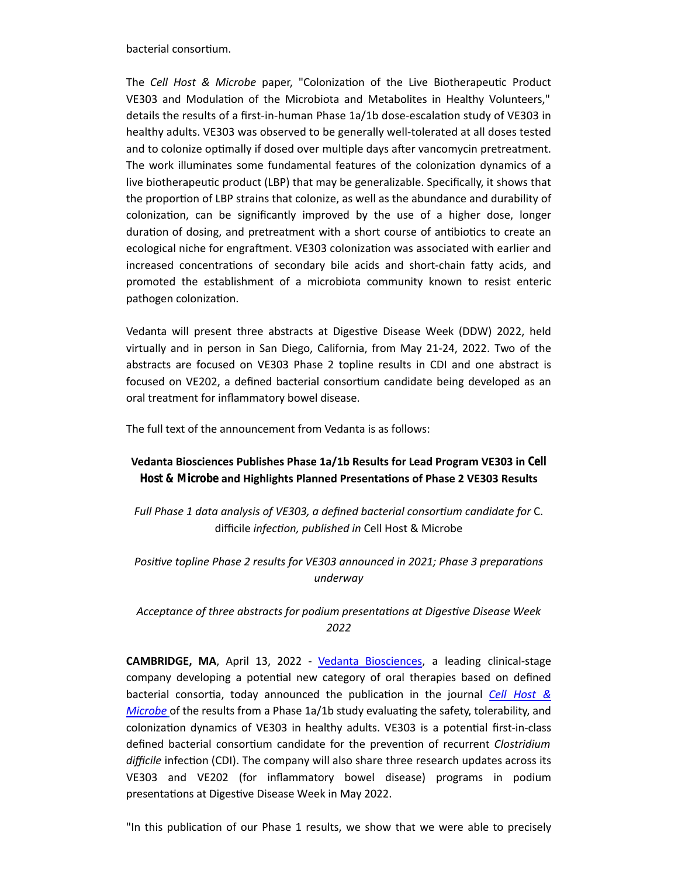bacterial consortium.

The *Cell Host & Microbe* paper, "Colonization of the Live Biotherapeutic Product VE303 and Modulation of the Microbiota and Metabolites in Healthy Volunteers," details the results of a first-in-human Phase 1a/1b dose-escalation study of VE303 in healthy adults. VE303 was observed to be generally well-tolerated at all doses tested and to colonize optimally if dosed over multiple days after vancomycin pretreatment. The work illuminates some fundamental features of the colonization dynamics of a live biotherapeutic product (LBP) that may be generalizable. Specifically, it shows that the proportion of LBP strains that colonize, as well as the abundance and durability of colonizaƟon, can be significantly improved by the use of a higher dose, longer duration of dosing, and pretreatment with a short course of antibiotics to create an ecological niche for engraftment. VE303 colonization was associated with earlier and increased concentrations of secondary bile acids and short-chain fatty acids, and promoted the establishment of a microbiota community known to resist enteric pathogen colonization.

Vedanta will present three abstracts at Digestive Disease Week (DDW) 2022, held virtually and in person in San Diego, California, from May 21-24, 2022. Two of the abstracts are focused on VE303 Phase 2 topline results in CDI and one abstract is focused on VE202, a defined bacterial consortium candidate being developed as an oral treatment for inflammatory bowel disease.

The full text of the announcement from Vedanta is as follows:

## **Vedanta Biosciences Publishes Phase 1a/1b Results for Lead Program VE303 in** *Cell Host & Microbe* and Highlights Planned Presentations of Phase 2 VE303 Results

Full Phase 1 data analysis of VE303, a defined bacterial consortium candidate for C. difficile *infecƟon, published in* Cell Host & Microbe

## *Positive topline Phase 2 results for VE303 announced in 2021; Phase 3 preparations underway*

## *Acceptance of three abstracts for podium presentaƟons at DigesƟve Disease Week 2022*

**CAMBRIDGE, MA**, April 13, 2022 - [Vedanta Biosciences,](https://www.vedantabio.com/) a leading clinical-stage company developing a potential new category of oral therapies based on defined bacterial consortia, today announced the publication in the journal *[Cell Host &](https://urldefense.proofpoint.com/v2/url?u=https-3A__doi.org_10.1016_j.chom.2022.03.016&d=DwMGaQ&c=euGZstcaTDllvimEN8b7jXrwqOf-v5A_CdpgnVfiiMM&r=5W-h3wUECPWCgbczEzfmqZ3XHtmcwZLbQgtNrg57KPKPt8iIax9I47YKVscXm9rB&m=1ynoAA8V3OuPIcB5TjzU2NPKR_NI-FOQXaBIF0xjgrY&s=Y66LuZKt0h3FKudGmlZS65CA7PEt9yMCJI77_FZbrcA&e=) Microbe* of the results from a Phase 1a/1b study evaluating the safety, tolerability, and colonization dynamics of VE303 in healthy adults. VE303 is a potential first-in-class defined bacterial consortium candidate for the prevention of recurrent *Clostridium* difficile infection (CDI). The company will also share three research updates across its VE303 and VE202 (for inflammatory bowel disease) programs in podium presentations at Digestive Disease Week in May 2022.

"In this publication of our Phase 1 results, we show that we were able to precisely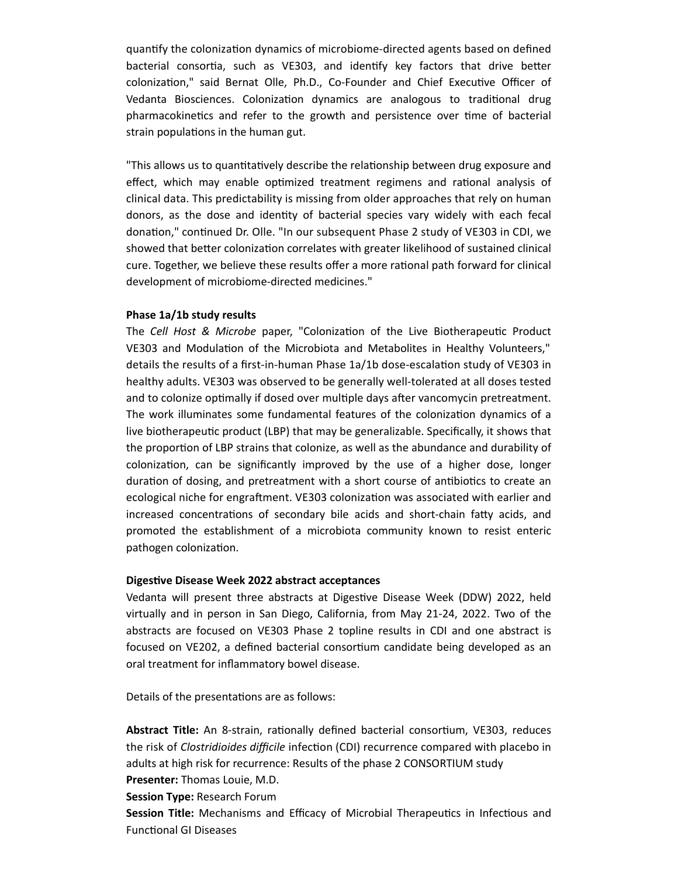quantify the colonization dynamics of microbiome-directed agents based on defined bacterial consortia, such as VE303, and identify key factors that drive better colonization," said Bernat Olle, Ph.D., Co-Founder and Chief Executive Officer of Vedanta Biosciences. Colonization dynamics are analogous to traditional drug pharmacokinetics and refer to the growth and persistence over time of bacterial strain populations in the human gut.

"This allows us to quantitatively describe the relationship between drug exposure and effect, which may enable optimized treatment regimens and rational analysis of clinical data. This predictability is missing from older approaches that rely on human donors, as the dose and identity of bacterial species vary widely with each fecal donation," continued Dr. Olle. "In our subsequent Phase 2 study of VE303 in CDI, we showed that better colonization correlates with greater likelihood of sustained clinical cure. Together, we believe these results offer a more rational path forward for clinical development of microbiome-directed medicines."

#### **Phase 1a/1b study results**

The *Cell Host & Microbe* paper, "Colonization of the Live Biotherapeutic Product VE303 and Modulation of the Microbiota and Metabolites in Healthy Volunteers," details the results of a first-in-human Phase 1a/1b dose-escalation study of VE303 in healthy adults. VE303 was observed to be generally well-tolerated at all doses tested and to colonize optimally if dosed over multiple days after vancomycin pretreatment. The work illuminates some fundamental features of the colonization dynamics of a live biotherapeutic product (LBP) that may be generalizable. Specifically, it shows that the proportion of LBP strains that colonize, as well as the abundance and durability of colonizaƟon, can be significantly improved by the use of a higher dose, longer duration of dosing, and pretreatment with a short course of antibiotics to create an ecological niche for engraftment. VE303 colonization was associated with earlier and increased concentrations of secondary bile acids and short-chain fatty acids, and promoted the establishment of a microbiota community known to resist enteric pathogen colonization.

#### **DigesƟve Disease Week 2022 abstract acceptances**

Vedanta will present three abstracts at Digestive Disease Week (DDW) 2022, held virtually and in person in San Diego, California, from May 21-24, 2022. Two of the abstracts are focused on VE303 Phase 2 topline results in CDI and one abstract is focused on VE202, a defined bacterial consortium candidate being developed as an oral treatment for inflammatory bowel disease.

Details of the presentations are as follows:

Abstract Title: An 8-strain, rationally defined bacterial consortium, VE303, reduces the risk of *Clostridioides difficile* infection (CDI) recurrence compared with placebo in adults at high risk for recurrence: Results of the phase 2 CONSORTIUM study **Presenter:** Thomas Louie, M.D.

**Session Type:** Research Forum

**Session Title:** Mechanisms and Efficacy of Microbial Therapeutics in Infectious and Functional GI Diseases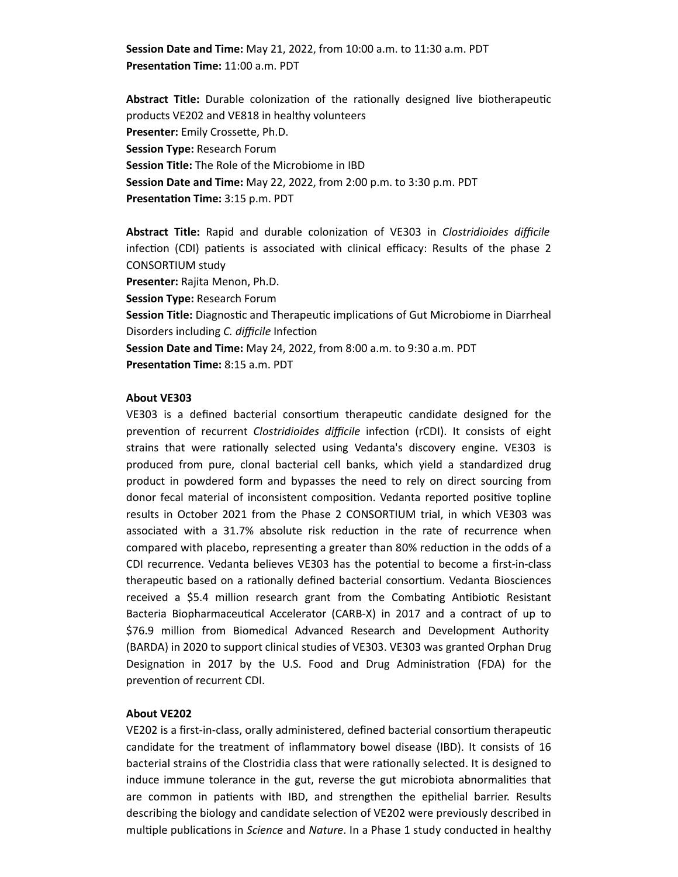**Session Date and Time:** May 21, 2022, from 10:00 a.m. to 11:30 a.m. PDT **PresentaƟon Time:** 11:00 a.m. PDT

**Abstract Title:** Durable colonization of the rationally designed live biotherapeutic products VE202 and VE818 in healthy volunteers **Presenter:** Emily Crossette, Ph.D. **Session Type:** Research Forum **Session Title:** The Role of the Microbiome in IBD **Session Date and Time:** May 22, 2022, from 2:00 p.m. to 3:30 p.m. PDT **Presentation Time:** 3:15 p.m. PDT

Abstract Title: Rapid and durable colonization of VE303 in *Clostridioides difficile* infection (CDI) patients is associated with clinical efficacy: Results of the phase 2 CONSORTIUM study **Presenter:** Rajita Menon, Ph.D.

**Session Type:** Research Forum

**Session Title:** Diagnostic and Therapeutic implications of Gut Microbiome in Diarrheal Disorders including *C. difficile* Infection

**Session Date and Time:** May 24, 2022, from 8:00 a.m. to 9:30 a.m. PDT **Presentation Time: 8:15 a.m. PDT** 

#### **About VE303**

VE303 is a defined bacterial consortium therapeutic candidate designed for the prevention of recurrent *Clostridioides difficile* infection (rCDI). It consists of eight strains that were rationally selected using Vedanta's discovery engine. VE303 is produced from pure, clonal bacterial cell banks, which yield a standardized drug product in powdered form and bypasses the need to rely on direct sourcing from donor fecal material of inconsistent composition. Vedanta reported positive topline results in October 2021 from the Phase 2 CONSORTIUM trial, in which VE303 was associated with a 31.7% absolute risk reduction in the rate of recurrence when compared with placebo, representing a greater than 80% reduction in the odds of a CDI recurrence. Vedanta believes VE303 has the potential to become a first-in-class therapeutic based on a rationally defined bacterial consortium. Vedanta Biosciences received a \$5.4 million research grant from the Combating Antibiotic Resistant Bacteria Biopharmaceutical Accelerator (CARB-X) in 2017 and a contract of up to \$76.9 million from Biomedical Advanced Research and Development Authority (BARDA) in 2020 to support clinical studies of VE303. VE303 was granted Orphan Drug Designation in 2017 by the U.S. Food and Drug Administration (FDA) for the prevention of recurrent CDI.

#### **About VE202**

VE202 is a first-in-class, orally administered, defined bacterial consortium therapeutic candidate for the treatment of inflammatory bowel disease (IBD). It consists of 16 bacterial strains of the Clostridia class that were rationally selected. It is designed to induce immune tolerance in the gut, reverse the gut microbiota abnormalities that are common in patients with IBD, and strengthen the epithelial barrier. Results describing the biology and candidate selection of VE202 were previously described in multiple publications in *Science* and *Nature*. In a Phase 1 study conducted in healthy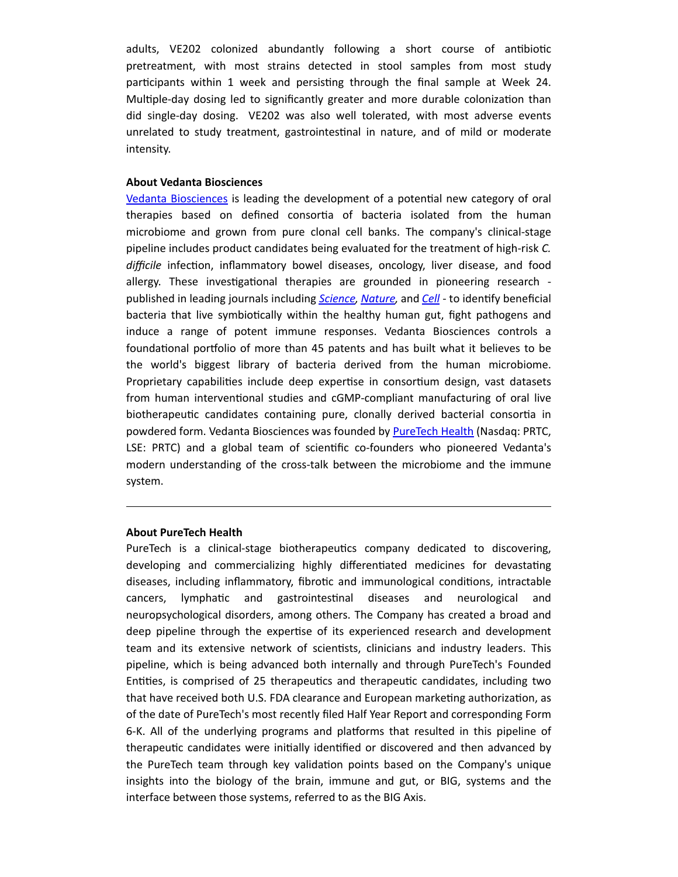adults, VE202 colonized abundantly following a short course of antibiotic pretreatment, with most strains detected in stool samples from most study participants within 1 week and persisting through the final sample at Week 24. Multiple-day dosing led to significantly greater and more durable colonization than did single-day dosing. VE202 was also well tolerated, with most adverse events unrelated to study treatment, gastrointestinal in nature, and of mild or moderate intensity.

#### **About Vedanta Biosciences**

[Vedanta Biosciences](http://www.vedantabio.com/) is leading the development of a potential new category of oral therapies based on defined consortia of bacteria isolated from the human microbiome and grown from pure clonal cell banks. The company's clinical-stage pipeline includes product candidates being evaluated for the treatment of high-risk *C. difficile* infecƟon, inflammatory bowel diseases, oncology, liver disease, and food allergy. These investigational therapies are grounded in pioneering research published in leading journals including *[Science,](http://science.sciencemag.org/content/331/6015/337) [Nature,](https://www.nature.com/articles/nature12331)* and *[Cell](https://www.ncbi.nlm.nih.gov/pubmed/26411289)* - to idenƟfy beneficial bacteria that live symbiotically within the healthy human gut, fight pathogens and induce a range of potent immune responses. Vedanta Biosciences controls a foundational portfolio of more than 45 patents and has built what it believes to be the world's biggest library of bacteria derived from the human microbiome. Proprietary capabilities include deep expertise in consortium design, vast datasets from human interventional studies and cGMP-compliant manufacturing of oral live biotherapeutic candidates containing pure, clonally derived bacterial consortia in powdered form. Vedanta Biosciences was founded by **PureTech Health** (Nasdaq: PRTC, LSE: PRTC) and a global team of scientific co-founders who pioneered Vedanta's modern understanding of the cross-talk between the microbiome and the immune system.

#### **About PureTech Health**

PureTech is a clinical-stage biotherapeutics company dedicated to discovering, developing and commercializing highly differentiated medicines for devastating diseases, including inflammatory, fibrotic and immunological conditions, intractable cancers, lymphatic and gastrointestinal diseases and neurological and neuropsychological disorders, among others. The Company has created a broad and deep pipeline through the expertise of its experienced research and development team and its extensive network of scientists, clinicians and industry leaders. This pipeline, which is being advanced both internally and through PureTech's Founded Entities, is comprised of 25 therapeutics and therapeutic candidates, including two that have received both U.S. FDA clearance and European marketing authorization, as of the date of PureTech's most recently filed Half Year Report and corresponding Form 6-K. All of the underlying programs and platforms that resulted in this pipeline of therapeutic candidates were initially identified or discovered and then advanced by the PureTech team through key validation points based on the Company's unique insights into the biology of the brain, immune and gut, or BIG, systems and the interface between those systems, referred to as the BIG Axis.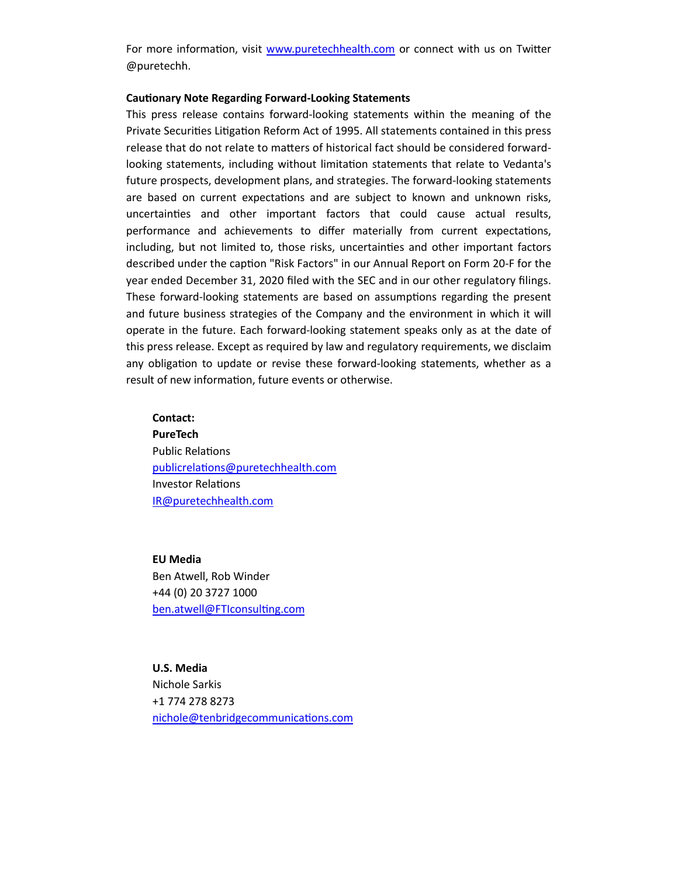For more information, visit [www.puretechhealth.com](http://www.puretechhealth.com/) or connect with us on Twitter @puretechh.

#### **CauƟonary Note Regarding Forward-Looking Statements**

This press release contains forward-looking statements within the meaning of the Private Securities Litigation Reform Act of 1995. All statements contained in this press release that do not relate to matters of historical fact should be considered forwardlooking statements, including without limitation statements that relate to Vedanta's future prospects, development plans, and strategies. The forward-looking statements are based on current expectations and are subject to known and unknown risks, uncertainƟes and other important factors that could cause actual results, performance and achievements to differ materially from current expectations, including, but not limited to, those risks, uncertainties and other important factors described under the caption "Risk Factors" in our Annual Report on Form 20-F for the year ended December 31, 2020 filed with the SEC and in our other regulatory filings. These forward-looking statements are based on assumptions regarding the present and future business strategies of the Company and the environment in which it will operate in the future. Each forward-looking statement speaks only as at the date of this press release. Except as required by law and regulatory requirements, we disclaim any obligation to update or revise these forward-looking statements, whether as a result of new information, future events or otherwise.

#### **Contact:**

**PureTech** Public Relations publicrelations@puretechhealth.com Investor RelaƟons [IR@puretechhealth.com](mailto:IR@puretechhealth.com)

**EU Media** Ben Atwell, Rob Winder +44 (0) 20 3727 1000 ben.atwell@FTIconsulting.com

**U.S. Media** Nichole Sarkis +1 774 278 8273 nichole@tenbridgecommunications.com